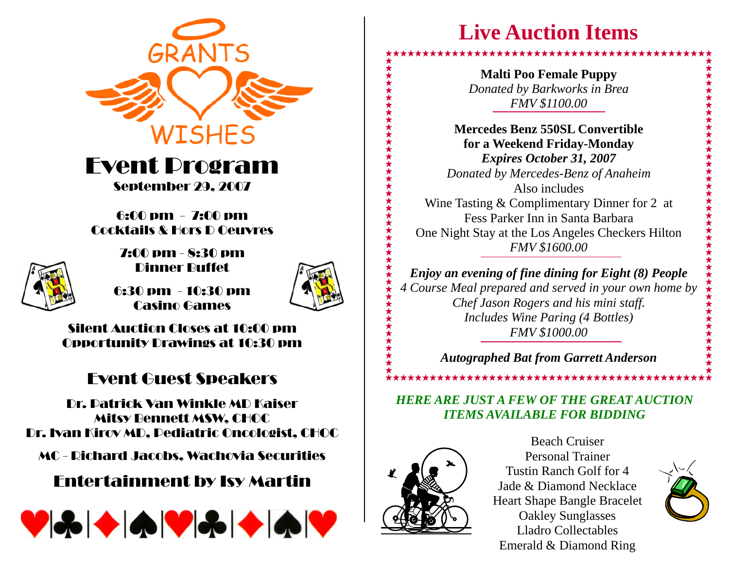

Event Program September 29, 2007

#### 6:00 pm - 7:00 pm Cocktails & Hors D Oeuvres



7:00 pm - 8:30 pm Dinner Buffet

6:30 pm - 10:30 pm Casino Games



Silent Auction Closes at 10:00 pmOpportunity Drawings at 10:30 pm

## Event Guest Speakers

Dr. Patrick Van Winkle MD Kaiser Mitsy Bennett MSW, CHOC Dr. Ivan Kirov MD, Pediatric Oncologist, CHOC

MC - Richard Jacobs, Wachovia Securities

### Entertainment by Isy Martin



# **Live Auction Items**

**Malti Poo Female Puppy**  *Donated by Barkworks in Brea FMV \$1100.00*

**Mercedes Benz 550SL Convertible for a Weekend Friday-Monday**  *Expires October 31, 2007 Donated by Mercedes-Benz of Anaheim* Also includesWine Tasting & Complimentary Dinner for 2 at Fess Parker Inn in Santa Barbara One Night Stay at the Los Angeles Checkers Hilton *FMV \$1600.00* 

*Enjoy an evening of fine dining for Eight (8) People 4 Course Meal prepared and served in your own home by Chef Jason Rogers and his mini staff. Includes Wine Paring (4 Bottles) FMV \$1000.00* 

*Autographed Bat from Garrett Anderson* 

*HERE ARE JUST A FEW OF THE GREAT AUCTION ITEMS AVAILABLE FOR BIDDING*

\*\*\*\*\*\*\*\*\*\*\*\*\*\*\*\*\*\*\*\*\*\*\*\*\*\*\*\*\*\*\*\*\*\*\*



Beach Cruiser Personal Trainer Tustin Ranch Golf for 4 Jade & Diamond Necklace Heart Shape Bangle Bracelet Oakley Sunglasses Lladro Collectables Emerald & Diamond Ring



★★★★★★★★★★★★★★★★★★★★★★★★★★